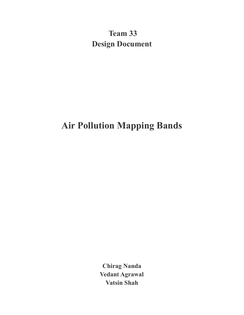**Team 33 Design Document**

# **Air Pollution Mapping Bands**

**Chirag Nanda Vedant Agrawal Vatsin Shah**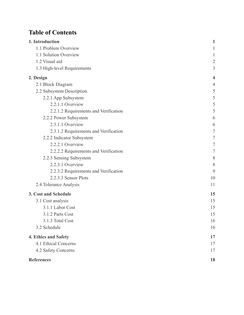# Table of Contents

| 1. Introduction                       | 1              |
|---------------------------------------|----------------|
| 1.1 Problem Overview                  | 1              |
| 1.1 Solution Overview                 |                |
| 1.2 Visual aid                        | $\overline{2}$ |
| 1.3 High-level Requirements           | 3              |
| 2. Design                             | 4              |
| 2.1 Block Diagram                     | 4              |
| 2.2 Subsystem Description             | 5              |
| 2.2.1 App Subsystem                   | 5              |
| 2.2.1.1 Overview                      | 5              |
| 2.2.1.2 Requirements and Verification | 5              |
| 2.2.2 Power Subsystem                 | 6              |
| 2.3.1.1 Overview                      | 6              |
| 2.3.1.2 Requirements and Verification | 7              |
| 2.2.2 Indicator Subsystem             | 7              |
| 2.2.2.1 Overview                      | 7              |
| 2.2.2.2 Requirements and Verification | 7              |
| 2.2.3 Sensing Subsystem               | 8              |
| 2.2.3.1 Overview                      | 8              |
| 2.2.3.2 Requirements and Verification | 9              |
| 2.2.3.3 Sensor Plots                  | 10             |
| 2.4 Tolerance Analysis                | 11             |
| 3. Cost and Schedule                  | 15             |
| 3.1 Cost analysis                     | 15             |
| 3.1.1 Labor Cost                      | 15             |
| 3.1.2 Parts Cost                      | 15             |
| 3.1.3 Total Cost                      | 16             |
| 3.2 Schedule                          | 16             |
| 4. Ethics and Safety                  | 17             |
| 4.1 Ethical Concerns                  | 17             |
| 4.2 Safety Concerns                   | 17             |
| <b>References</b>                     | 18             |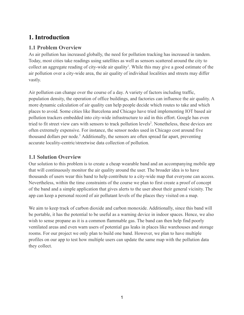# <span id="page-2-0"></span>**1. Introduction**

## <span id="page-2-1"></span>**1.1 Problem Overview**

As air pollution has increased globally, the need for pollution tracking has increased in tandem. Today, most cities take readings using satellites as well as sensors scattered around the city to collect an aggregate reading of city-wide air quality<sup>1</sup>. While this may give a good estimate of the air pollution over a city-wide area, the air quality of individual localities and streets may differ vastly.

Air pollution can change over the course of a day. A variety of factors including traffic, population density, the operation of office buildings, and factories can influence the air quality. A more dynamic calculation of air quality can help people decide which routes to take and which places to avoid. Some cities like Barcelona and Chicago have tried implementing IOT based air pollution trackers embedded into city-wide infrastructure to aid in this effort. Google has even tried to fit street view cars with sensors to track pollution levels<sup>2</sup>. Nonetheless, these devices are often extremely expensive. For instance, the sensor nodes used in Chicago cost around five thousand dollars per node.<sup>3</sup> Additionally, the sensors are often spread far apart, preventing accurate locality-centric/streetwise data collection of pollution.

### <span id="page-2-2"></span>**1.1 Solution Overview**

Our solution to this problem is to create a cheap wearable band and an accompanying mobile app that will continuously monitor the air quality around the user. The broader idea is to have thousands of users wear this band to help contribute to a city-wide map that everyone can access. Nevertheless, within the time constraints of the course we plan to first create a proof of concept of the band and a simple application that gives alerts to the user about their general vicinity. The app can keep a personal record of air pollutant levels of the places they visited on a map.

We aim to keep track of carbon dioxide and carbon monoxide. Additionally, since this band will be portable, it has the potential to be useful as a warning device in indoor spaces. Hence, we also wish to sense propane as it is a common flammable gas. The band can then help find poorly ventilated areas and even warn users of potential gas leaks in places like warehouses and storage rooms. For our project we only plan to build one band. However, we plan to have multiple profiles on our app to test how multiple users can update the same map with the pollution data they collect.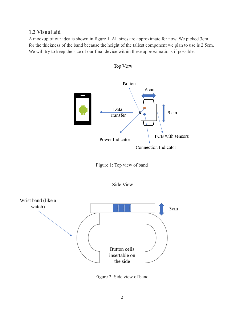### <span id="page-3-0"></span>**1.2 Visual aid**

A mockup of our idea is shown in figure 1. All sizes are approximate for now. We picked 3cm for the thickness of the band because the height of the tallest component we plan to use is 2.5cm. We will try to keep the size of our final device within these approximations if possible.



Top View







Figure 2: Side view of band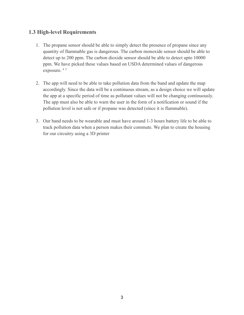#### <span id="page-4-0"></span>**1.3 High-level Requirements**

- 1. The propane sensor should be able to simply detect the presence of propane since any quantity of flammable gas is dangerous. The carbon monoxide sensor should be able to detect up to 200 ppm. The carbon dioxide sensor should be able to detect upto 10000 ppm. We have picked these values based on USDA determined values of dangerous exposure. <sup>4</sup> <sup>5</sup>
- 2. The app will need to be able to take pollution data from the band and update the map accordingly. Since the data will be a continuous stream, as a design choice we will update the app at a specific period of time as pollutant values will not be changing continuously. The app must also be able to warn the user in the form of a notification or sound if the pollution level is not safe or if propane was detected (since it is flammable).
- 3. Our band needs to be wearable and must have around 1-3 hours battery life to be able to track pollution data when a person makes their commute. We plan to create the housing for our circuitry using a 3D printer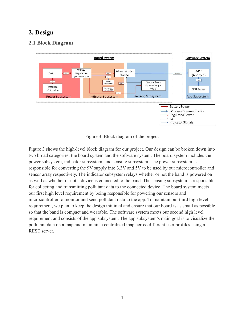# <span id="page-5-0"></span>**2. Design**

# <span id="page-5-1"></span>**2.1 Block Diagram**



Figure 3: Block diagram of the project

Figure 3 shows the high-level block diagram for our project. Our design can be broken down into two broad categories: the board system and the software system. The board system includes the power subsystem, indicator subsystem, and sensing subsystem. The power subsystem is responsible for converting the 9V supply into 3.3V and 5V to be used by our microcontroller and sensor array respectively. The indicator subsystem relays whether or not the band is powered on as well as whether or not a device is connected to the band. The sensing subsystem is responsible for collecting and transmitting pollutant data to the connected device. The board system meets our first high level requirement by being responsible for powering our sensors and microcontroller to monitor and send pollutant data to the app. To maintain our third high level requirement, we plan to keep the design minimal and ensure that our board is as small as possible so that the band is compact and wearable. The software system meets our second high level requirement and consists of the app subsystem. The app subsystem's main goal is to visualize the pollutant data on a map and maintain a centralized map across different user profiles using a REST server.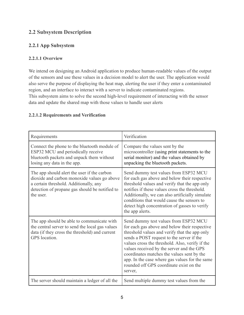# <span id="page-6-0"></span>**2.2 Subsystem Description**

# <span id="page-6-1"></span>**2.2.1 App Subsystem**

### <span id="page-6-2"></span>**2.2.1.1 Overview**

We intend on designing an Android application to produce human-readable values of the output of the sensors and use these values in a decision model to alert the user. The application would also serve the purpose of displaying the heat map, alerting the user if they enter a contaminated region, and an interface to interact with a server to indicate contaminated regions.

This subsystem aims to solve the second high-level requirement of interacting with the sensor data and update the shared map with those values to handle user alerts

#### <span id="page-6-3"></span>**2.2.1.2 Requirements and Verification**

| Requirements                                                                                                                                                                                        | Verification                                                                                                                                                                                                                                                                                                                                                                                                                               |
|-----------------------------------------------------------------------------------------------------------------------------------------------------------------------------------------------------|--------------------------------------------------------------------------------------------------------------------------------------------------------------------------------------------------------------------------------------------------------------------------------------------------------------------------------------------------------------------------------------------------------------------------------------------|
| Connect the phone to the bluetooth module of<br>ESP32 MCU and periodically receive<br>bluetooth packets and unpack them without<br>losing any data in the app.                                      | Compare the values sent by the<br>microcontroller (using print statements to the<br>serial monitor) and the values obtained by<br>unpacking the bluetooth packets.                                                                                                                                                                                                                                                                         |
| The app should alert the user if the carbon<br>dioxide and carbon monoxide values go above<br>a certain threshold. Additionally, any<br>detection of propane gas should be notified to<br>the user. | Send dummy test values from ESP32 MCU<br>for each gas above and below their respective<br>threshold values and verify that the app only<br>notifies if these values cross the threshold.<br>Additionally, we can also artificially simulate<br>conditions that would cause the sensors to<br>detect high concentration of gasses to verify<br>the app alerts.                                                                              |
| The app should be able to communicate with<br>the central server to send the local gas values<br>data (if they cross the threshold) and current<br>GPS location.                                    | Send dummy test values from ESP32 MCU<br>for each gas above and below their respective<br>threshold values and verify that the app only<br>sends a POST request to the server if the<br>values cross the threshold. Also, verify if the<br>values received by the server and the GPS<br>coordinates matches the values sent by the<br>app. In the case where gas values for the same<br>rounded off GPS coordinate exist on the<br>server, |
| The server should maintain a ledger of all the                                                                                                                                                      | Send multiple dummy test values from the                                                                                                                                                                                                                                                                                                                                                                                                   |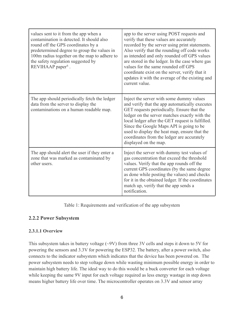| values sent to it from the app when a<br>contamination is detected. It should also<br>round off the GPS coordinates by a<br>predetermined degree to group the values in<br>100m radius together on the map to adhere to<br>the safety regulation suggested by<br>REVIHAAP paper <sup>6</sup> . | app to the server using POST requests and<br>verify that these values are accurately<br>recorded by the server using print statements.<br>Also verify that the rounding off code works<br>as intended and only rounded off GPS values<br>are stored in the ledger. In the case where gas<br>values for the same rounded off GPS<br>coordinate exist on the server, verify that it<br>updates it with the average of the existing and<br>current value. |
|------------------------------------------------------------------------------------------------------------------------------------------------------------------------------------------------------------------------------------------------------------------------------------------------|--------------------------------------------------------------------------------------------------------------------------------------------------------------------------------------------------------------------------------------------------------------------------------------------------------------------------------------------------------------------------------------------------------------------------------------------------------|
| The app should periodically fetch the ledger<br>data from the server to display the<br>contaminations on a human readable map.                                                                                                                                                                 | Inject the server with some dummy values<br>and verify that the app automatically executes<br>GET requests periodically. Ensure that the<br>ledger on the server matches exactly with the<br>local ledger after the GET request is fulfilled.<br>Since the Google Maps API is going to be<br>used to display the heat map, ensure that the<br>coordinates from the ledger are accurately<br>displayed on the map.                                      |
| The app should alert the user if they enter a<br>zone that was marked as contaminated by<br>other users.                                                                                                                                                                                       | Inject the server with dummy test values of<br>gas concentration that exceed the threshold<br>values. Verify that the app rounds off the<br>current GPS coordinates (by the same degree<br>as done while posting the values) and checks<br>for it in the obtained ledger. If the coordinates<br>match up, verify that the app sends a<br>notification.                                                                                                 |

Table 1: Requirements and verification of the app subsystem

#### <span id="page-7-0"></span>**2.2.2 Power Subsystem**

#### <span id="page-7-1"></span>**2.3.1.1 Overview**

This subsystem takes in battery voltage  $(\sim 9V)$  from three 3V cells and steps it down to 5V for powering the sensors and 3.3V for powering the ESP32. The battery, after a power switch, also connects to the indicator subsystem which indicates that the device has been powered on. The power subsystem needs to step voltage down while wasting minimum possible energy in order to maintain high battery life. The ideal way to do this would be a buck converter for each voltage while keeping the same 9V input for each voltage required as less energy wastage in step down means higher battery life over time. The microcontroller operates on 3.3V and sensor array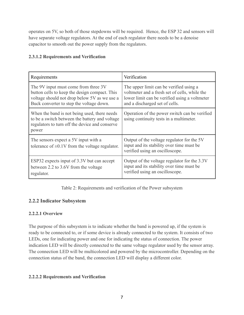operates on 5V, so both of those stepdowns will be required. Hence, the ESP 32 and sensors will have separate voltage regulators. At the end of each regulator there needs to be a denoise capacitor to smooth out the power supply from the regulators.

#### <span id="page-8-0"></span>**2.3.1.2 Requirements and Verification**

| Requirements                                                                                                                                                                      | Verification                                                                                                                                                                |
|-----------------------------------------------------------------------------------------------------------------------------------------------------------------------------------|-----------------------------------------------------------------------------------------------------------------------------------------------------------------------------|
| The 9V input must come from three 3V<br>button cells to keep the design compact. This<br>voltage should not drop below 5V as we use a<br>Buck converter to step the voltage down. | The upper limit can be verified using a<br>voltmeter and a fresh set of cells, while the<br>lower limit can be verified using a voltmeter<br>and a discharged set of cells. |
| When the band is not being used, there needs<br>to be a switch between the battery and voltage<br>regulators to turn off the device and conserve<br>power                         | Operation of the power switch can be verified<br>using continuity tests in a multimeter.                                                                                    |
| The sensors expect a 5V input with a<br>tolerance of $\pm 0.1V$ from the voltage regulator.                                                                                       | Output of the voltage regulator for the 5V<br>input and its stability over time must be<br>verified using an oscilloscope.                                                  |
| ESP32 expects input of 3.3V but can accept<br>between 2.2 to 3.6V from the voltage<br>regulator.                                                                                  | Output of the voltage regulator for the 3.3V<br>input and its stability over time must be<br>verified using an oscilloscope.                                                |

Table 2: Requirements and verification of the Power subsystem

## <span id="page-8-1"></span>**2.2.2 Indicator Subsystem**

#### <span id="page-8-2"></span>**2.2.2.1 Overview**

The purpose of this subsystem is to indicate whether the band is powered up, if the system is ready to be connected to, or if some device is already connected to the system. It consists of two LEDs, one for indicating power and one for indicating the status of connection. The power indication LED will be directly connected to the same voltage regulator used by the sensor array. The connection LED will be multicolored and powered by the microcontroller. Depending on the connection status of the band, the connection LED will display a different color.

#### <span id="page-8-3"></span>**2.2.2.2 Requirements and Verification**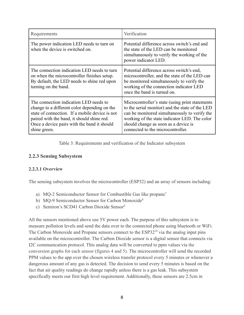| Requirements                                                                                                                                                                                                                                          | Verification                                                                                                                                                                                                                                                                       |
|-------------------------------------------------------------------------------------------------------------------------------------------------------------------------------------------------------------------------------------------------------|------------------------------------------------------------------------------------------------------------------------------------------------------------------------------------------------------------------------------------------------------------------------------------|
| The power indication LED needs to turn on<br>when the device is switched on.                                                                                                                                                                          | Potential difference across switch's end and<br>the state of the LED can be monitored<br>simultaneously to verify the working of the<br>power indicator LED.                                                                                                                       |
| The connection indication LED needs to turn<br>on when the microcontroller finishes setup.<br>By default, the LED needs to shine red upon<br>turning on the band.                                                                                     | Potential difference across switch's end,<br>microcontroller, and the state of the LED can<br>be monitored simultaneously to verify the<br>working of the connection indicator LED<br>once the band is turned on.                                                                  |
| The connection indication LED needs to<br>change to a different color depending on the<br>state of connection. If a mobile device is not<br>paired with the band, it should shine red.<br>Once a device pairs with the band it should<br>shine green. | Microcontroller's state (using print statements)<br>to the serial monitor) and the state of the LED<br>can be monitored simultaneously to verify the<br>working of the state indicator LED. The color<br>should change as soon as a device is<br>connected to the microcontroller. |

Table 3: Requirements and verification of the Indicator subsystem

#### <span id="page-9-0"></span>**2.2.3 Sensing Subsystem**

#### <span id="page-9-1"></span>**2.2.3.1 Overview**

The sensing subsystem involves the microcontroller (ESP32) and an array of sensors including:

- a) MQ-2 Semiconductor Sensor for Combustible Gas like propane<sup>7</sup>
- b) MQ-9 Semiconductor Sensor for Carbon Monoxide<sup>8</sup>
- c) Semiron's SCD41 Carbon Dioxide Sensor<sup>9</sup>

All the sensors mentioned above use 5V power each. The purpose of this subsystem is to measure pollution levels and send the data over to the connected phone using bluetooth or WiFi. The Carbon Monoxide and Propane sensors connect to the  $ESP32<sup>10</sup>$  via the analog input pins available on the microcontroller. The Carbon Dioxide sensor is a digital sensor that connects via I2C communication protocol. This analog data will be converted to ppm values via the conversion graphs for each sensor (figures 4 and 5). The microcontroller will send the recorded PPM values to the app over the chosen wireless transfer protocol every 5 minutes or whenever a dangerous amount of any gas is detected. The decision to send every 5 minutes is based on the fact that air quality readings do change rapidly unless there is a gas leak. This subsystem specifically meets our first high level requirement. Additionally, these sensors are 2.5cm in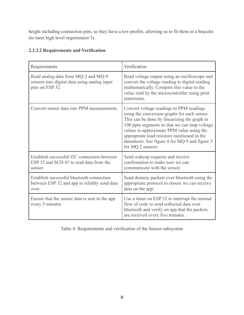height including connection pins, so they have a low profile, allowing us to fit them in a bracelet (to meet high level requirement 3).

| Requirements                                                                                           | Verification                                                                                                                                                                                                                                                                                                                                               |
|--------------------------------------------------------------------------------------------------------|------------------------------------------------------------------------------------------------------------------------------------------------------------------------------------------------------------------------------------------------------------------------------------------------------------------------------------------------------------|
| Read analog data from MQ-2 and MQ-9<br>sensors into digital data using analog input<br>pins on ESP 32. | Read voltage output using an oscilloscope and<br>convert the voltage reading to digital reading<br>mathematically. Compare this value to the<br>value read by the microcontroller using print<br>statements.                                                                                                                                               |
| Convert sensor data into PPM measurements.                                                             | Convert voltage readings to PPM readings<br>using the conversion graphs for each sensor.<br>This can be done by linearizing the graph in<br>100 ppm segments so that we can map voltage<br>values to approximate PPM value using the<br>appropriate load resistors mentioned in the<br>datasheets. See figure 4 for MQ 9 and figure 5<br>for MQ 2 sensors. |
| Establish successful I2C connection between<br>ESP 32 and SCD 41 to read data from the<br>sensor.      | Send wakeup requests and receive<br>confirmation to make sure we can<br>communicate with the sensor.                                                                                                                                                                                                                                                       |
| Establish successful bluetooth connection<br>between ESP 32 and app to reliably send data<br>over.     | Send dummy packets over bluetooth using the<br>appropriate protocol to ensure we can receive<br>data on the app.                                                                                                                                                                                                                                           |
| Ensure that the sensor data is sent to the app<br>every 5 minutes                                      | Use a timer on ESP 32 to interrupt the normal<br>flow of code to send collected data over<br>bluetooth and verify on app that the packets<br>are received every five minutes.                                                                                                                                                                              |

#### <span id="page-10-0"></span>**2.2.3.2 Requirements and Verification**

Table 4: Requirements and verification of the Sensor subsystem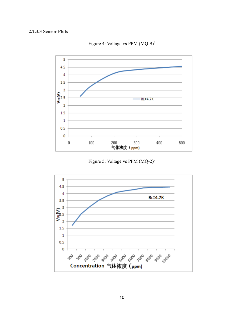#### <span id="page-11-0"></span>**2.2.3.3 Sensor Plots**



Figure 4: Voltage vs PPM  $(MQ-9)^8$ 

Figure 5: Voltage vs PPM (MQ-2)<sup>7</sup>

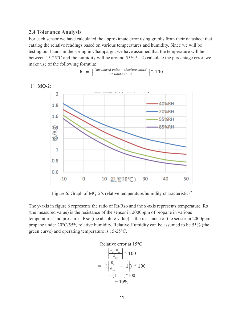#### <span id="page-12-0"></span>**2.4 Tolerance Analysis**

For each sensor we have calculated the approximate error using graphs from their datasheet that catalog the relative readings based on various temperatures and humidity. Since we will be testing our bands in the spring in Champaign, we have assumed that the temperature will be between 15-25 $\degree$ C and the humidity will be around 55%<sup>11</sup>. To calculate the percentage error, we make use of the following formula:

$$
\delta = \left| \frac{\text{(measured value} - absolute value)}{\text{absolute value}} \right| * 100
$$

$$
1) \text{MQ-2:}
$$



Figure 6: Graph of MQ-2's relative temperature/humidity characteristics<sup>7</sup>

The y-axis in figure 6 represents the ratio of Rs/Rso and the x-axis represents temperature. Rs (the measured value) is the resistance of the sensor in 2000ppm of propane in various temperatures and pressures. Rso (the absolute value) is the resistance of the sensor in 2000ppm propane under 20°C/55% relative humidity. Relative Humidity can be assumed to be 55% (the green curve) and operating temperature is 15-25°C.

#### Relative error at 15°C:

$$
\begin{array}{r|l}\n & \frac{R_s - R_{so}}{R_{so}} \text{ } \ast \text{ } 100 \\
& = \left( \left| \frac{R_s}{R_{so}} - 1 \right| \right) \ast \text{ } 100 \\
& = (1.1-1) \ast 100 \\
& = 10\% \n\end{array}
$$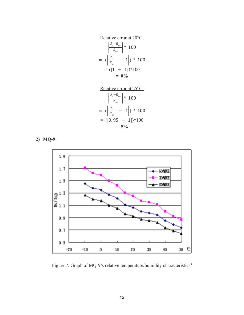Relative error at 20°C:

$$
\left| \frac{R_s - R_{so}}{R_{so}} \right| * 100
$$
  
=  $(\left| \frac{R_s}{R_{so}} - 1 \right|) * 100$   
=  $(|1 - 1|) * 100$   
= **0%**

Relative error at 25°C:

$$
\left| \frac{R_s - R_{so}}{R_{so}} \right| * 100
$$
  
=  $(\left| \frac{R_s}{R_{so}} - 1 \right|) * 100$   
=  $(|0.95 - 1|) * 100$   
= 5%

**2) MQ-9**:



Figure 7: Graph of MQ-9's relative temperature/humidity characteristics<sup>8</sup>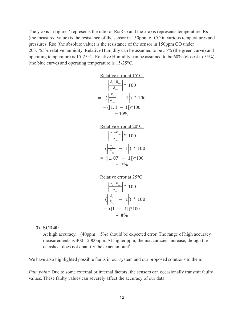The y-axis in figure 7 represents the ratio of Rs/Rso and the x-axis represents temperature. Rs (the measured value) is the resistance of the sensor in 150ppm of CO in various temperatures and pressures. Rso (the absolute value) is the resistance of the sensor in 150ppm CO under 20°C/55% relative humidity. Relative Humidity can be assumed to be 55% (the green curve) and operating temperature is 15-25°C. Relative Humidity can be assumed to be 60% (closest to 55%) (the blue curve) and operating temperature is 15-25°C.

Relative error at 15°C:  
\n
$$
\left| \frac{R_s - R_{so}}{R_{so}} \right| * 100
$$
\n
$$
= \left( \left| \frac{R_s}{R_{so}} - 1 \right| \right) * 100
$$
\n
$$
= (|1.1 - 1|) * 100
$$
\n
$$
= 10\%
$$



Relative error at 25°C:  $R_{s} - R_{so}$  $R_{\rm so}$ | | | | | | \* 100  $=$   $\left(\frac{R_s}{R_s}\right)$  $\frac{R_s}{R_{so}}$  - 1  $\Big) * 100$  $= (|1 - 1|)^*100$  $= 0\%$ 

#### **3) SCD40:**

At high accuracy,  $\pm$ (40ppm + 5%) should be expected error. The range of high accuracy measurements is 400 - 2000ppm. At higher ppm, the inaccuracies increase, though the datasheet does not quantify the exact amount<sup>9</sup>.

We have also highlighted possible faults in our system and our proposed solutions to them:

*Pain point:* Due to some external or internal factors, the sensors can occasionally transmit faulty values. These faulty values can severely affect the accuracy of our data.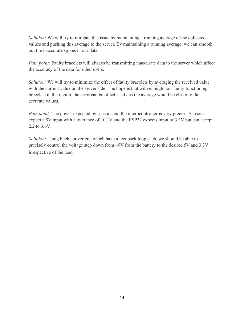*Solution:* We will try to mitigate this issue by maintaining a running average of the collected values and pushing this average to the server. By maintaining a running average, we can smooth out the inaccurate spikes in our data.

*Pain point:* Faulty bracelets will always be transmitting inaccurate data to the server which affect the accuracy of the data for other users.

*Solution:* We will try to minimize the effect of faulty bracelets by averaging the received value with the current value on the server side. The hope is that with enough non-faulty functioning bracelets in the region, the error can be offset easily as the average would be closer to the accurate values.

*Pain point:* The power expected by sensors and the microcontroller is very precise. Sensors expect a 5V input with a tolerance of  $\pm 0.1V$  and the ESP32 expects input of 3.3V but can accept 2.2 to 3.6V.

*Solution:* Using buck converters, which have a feedback loop each, we should be able to precisely control the voltage step down from ~9V from the battery to the desired 5V and 3.3V irrespective of the load.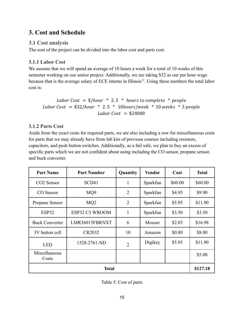# <span id="page-16-0"></span>**3. Cost and Schedule**

# <span id="page-16-1"></span>**3.1 Cost analysis**

The cost of the project can be divided into the labor cost and parts cost.

## <span id="page-16-2"></span>**3.1.1 Labor Cost**

We assume that we will spend an average of 10 hours a week for a total of 10 weeks of this semester working on our senior project. Additionally, we are taking \$32 as our per hour wage because that is the average salary of ECE interns in Illinois<sup>12</sup>. Using these numbers the total labor cost is:

Labor Cost =  $\frac{1}{2}$ /hour \* 2.5 \* hours to complete \* people Labor Cost =  $$32/hour * 2.5 * 10 hours/ week * 10 weeks * 3 people$ Labor Cost =  $$24000$ 

## <span id="page-16-3"></span>**3.1.2 Parts Cost**

Aside from the exact costs for required parts, we are also including a row for miscellaneous costs for parts that we may already have from lab kits of previous courses including resistors, capacitors, and push button switches. Additionally, as a fail safe, we plan to buy an excess of specific parts which we are not confident about using including the CO sensor, propane sensor, and buck converter.

| <b>Part Name</b>       | <b>Part Number</b> | Quantity       | <b>Vendor</b> | Cost     | <b>Total</b> |
|------------------------|--------------------|----------------|---------------|----------|--------------|
| CO <sub>2</sub> Sensor | SCD41              | $\mathbf{1}$   | Sparkfun      | \$60.00  | \$60.00      |
| CO Sensor              | MQ9                | $\overline{2}$ | Sparkfun      | \$4.95   | \$9.90       |
| Propane Sensor         | MQ <sub>2</sub>    | $\overline{2}$ | Sparkfun      | \$5.95   | \$11.90      |
| ESP32                  | ESP32 C3 WROOM     | 1              | Sparkfun      | \$3.50   | \$3.50       |
| <b>Buck Converter</b>  | LMR36015FBRNXT     | 6              | Mouser        | \$2.83   | \$16.98      |
| 3V button cell         | CR2032             | 10             | Amazon        | \$0.80   | \$8.00       |
| <b>LED</b>             | 1528-2761-ND       | $\overline{2}$ | Digikey       | \$5.95   | \$11.90      |
| Miscellaneous<br>Costs |                    |                |               |          | \$5.00       |
| <b>Total</b>           |                    |                |               | \$127.18 |              |

Table 5: Cost of parts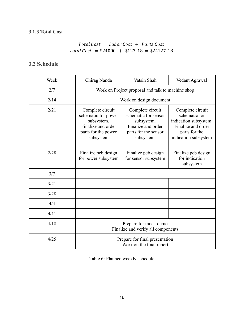# <span id="page-17-0"></span>**3.1.3 Total Cost**

# $Total Cost = Labor Cost + Parts Cost$  $Total Cost = $24000 + $127.18 = $24127.18$

# <span id="page-17-1"></span>**3.2 Schedule**

| Week | Chirag Nanda                                                                                                    | Vatsin Shah<br>Vedant Agrawal                                                                                      |                                                                                                                           |  |
|------|-----------------------------------------------------------------------------------------------------------------|--------------------------------------------------------------------------------------------------------------------|---------------------------------------------------------------------------------------------------------------------------|--|
| 2/7  | Work on Project proposal and talk to machine shop                                                               |                                                                                                                    |                                                                                                                           |  |
| 2/14 | Work on design document                                                                                         |                                                                                                                    |                                                                                                                           |  |
| 2/21 | Complete circuit<br>schematic for power<br>subsystem.<br>Finalize and order<br>parts for the power<br>subsystem | Complete circuit<br>schematic for sensor<br>subsystem.<br>Finalize and order<br>parts for the sensor<br>subsystem. | Complete circuit<br>schematic for<br>indication subsystem.<br>Finalize and order<br>parts for the<br>indication subsystem |  |
| 2/28 | Finalize pcb design<br>for power subsystem                                                                      | Finalize pcb design<br>for sensor subsystem                                                                        | Finalize pcb design<br>for indication<br>subsystem                                                                        |  |
| 3/7  |                                                                                                                 |                                                                                                                    |                                                                                                                           |  |
| 3/21 |                                                                                                                 |                                                                                                                    |                                                                                                                           |  |
| 3/28 |                                                                                                                 |                                                                                                                    |                                                                                                                           |  |
| 4/4  |                                                                                                                 |                                                                                                                    |                                                                                                                           |  |
| 4/11 |                                                                                                                 |                                                                                                                    |                                                                                                                           |  |
| 4/18 | Prepare for mock demo<br>Finalize and verify all components                                                     |                                                                                                                    |                                                                                                                           |  |
| 4/25 | Prepare for final presentation<br>Work on the final report                                                      |                                                                                                                    |                                                                                                                           |  |

Table 6: Planned weekly schedule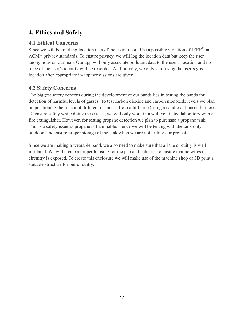# <span id="page-18-0"></span>**4. Ethics and Safety**

# <span id="page-18-1"></span>**4.1 Ethical Concerns**

Since we will be tracking location data of the user, it could be a possible violation of  $IEEE^{12}$  and ACM<sup>13</sup> privacy standards. To ensure privacy, we will log the location data but keep the user anonymous on our map. Our app will only associate pollutant data to the user's location and no trace of the user's identity will be recorded. Additionally, we only start using the user's gps location after appropriate in-app permissions are given.

# <span id="page-18-2"></span>**4.2 Safety Concerns**

The biggest safety concern during the development of our bands lies in testing the bands for detection of harmful levels of gasses. To test carbon dioxide and carbon monoxide levels we plan on positioning the sensor at different distances from a lit flame (using a candle or bunsen burner). To ensure safety while doing these tests, we will only work in a well ventilated laboratory with a fire extinguisher. However, for testing propane detection we plan to purchase a propane tank. This is a safety issue as propane is flammable. Hence we will be testing with the tank only outdoors and ensure proper storage of the tank when we are not testing our project.

Since we are making a wearable band, we also need to make sure that all the circuitry is well insulated. We will create a proper housing for the pcb and batteries to ensure that no wires or circuitry is exposed. To create this enclosure we will make use of the machine shop or 3D print a suitable structure for our circuitry.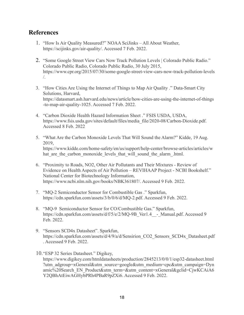# <span id="page-19-0"></span>**References**

- 1. "How Is Air Quality Measured?" NOAA SciJinks All About Weather, https://scijinks.gov/air-quality/. Accessed 7 Feb. 2022.
- 2. "Some Google Street View Cars Now Track Pollution Levels | Colorado Public Radio." Colorado Public Radio, Colorado Public Radio, 30 July 2015, https://www.cpr.org/2015/07/30/some-google-street-view-cars-now-track-pollution-levels /.
- 3. "How Cities Are Using the Internet of Things to Map Air Quality ." Data-Smart City Solutions, Harvard, https://datasmart.ash.harvard.edu/news/article/how-cities-are-using-the-internet-of-things -to-map-air-quality-1025. Accessed 7 Feb. 2022.
- 4. "Carbon Dioxide Health Hazard Information Sheet ." FSIS USDA, USDA, https://www.fsis.usda.gov/sites/default/files/media\_file/2020-08/Carbon-Dioxide.pdf. Accessed 8 Feb. 2022
- 5. "What Are the Carbon Monoxide Levels That Will Sound the Alarm?" Kidde, 19 Aug. 2019, https://www.kidde.com/home-safety/en/us/support/help-center/browse-articles/articles/w hat are the carbon monoxide levels that will sound the alarm .html.
- 6. "Proximity to Roads, NO2, Other Air Pollutants and Their Mixtures Review of Evidence on Health Aspects of Air Pollution – REVIHAAP Project - NCBI Bookshelf." National Center for Biotechnology Information, https://www.ncbi.nlm.nih.gov/books/NBK361807/. Accessed 9 Feb. 2022.
- 7. "MQ-2 Semiconductor Sensor for Combustible Gas ." Sparkfun, https://cdn.sparkfun.com/assets/3/b/0/6/d/MQ-2.pdf. Accessed 9 Feb. 2022.
- 8. "MQ-9 Semiconductor Sensor for CO/Combustible Gas." Sparkfun, https://cdn.sparkfun.com/assets/d/f/5/e/2/MQ-9B\_Ver1.4\_ - Manual.pdf. Accessed 9 Feb. 2022.
- 9. "Sensors SCD4x Datasheet". Sparkfun, https://cdn.sparkfun.com/assets/d/4/9/a/d/Sensirion\_CO2\_Sensors\_SCD4x\_Datasheet.pdf . Accessed 9 Feb. 2022.

10."ESP 32 Series Datasheet." Digikey, https://www.digikey.com/htmldatasheets/production/2845213/0/0/1/esp32-datasheet.html ?utm\_adgroup=xGeneral&utm\_source=google&utm\_medium=cpc&utm\_campaign=Dyn amic%20Search\_EN\_Product&utm\_term=&utm\_content=xGeneral&gclid=CjwKCAiA6 Y2QBhAtEiwAGHybPRh4PBaR9pZXi6. Accessed 9 Feb. 2022.